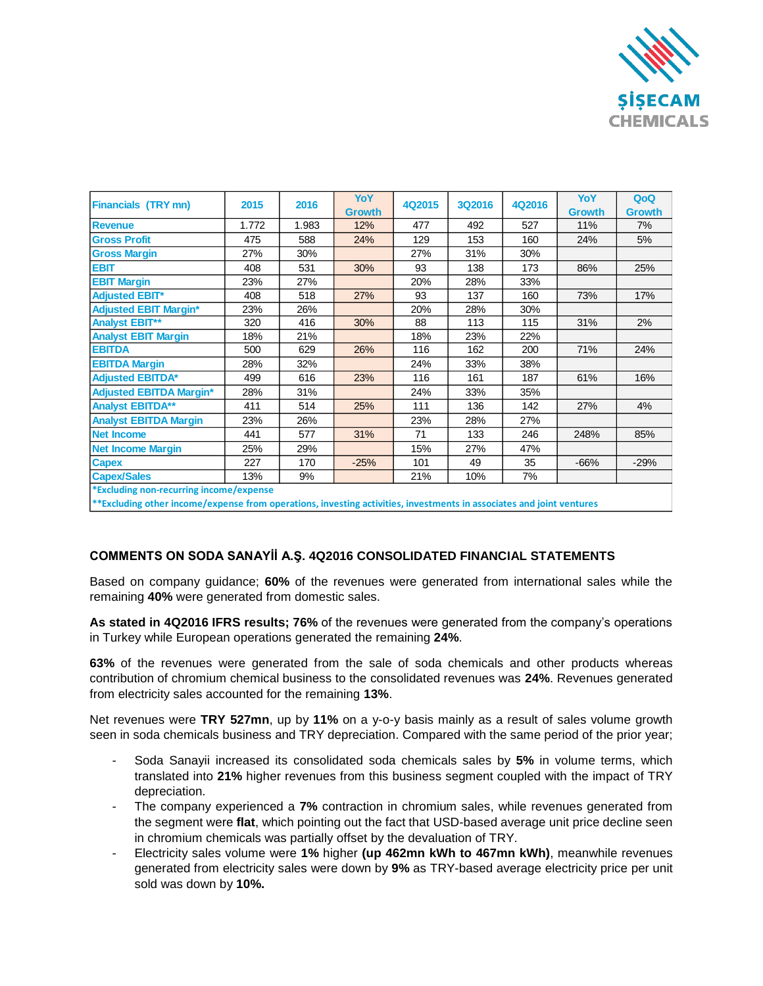

| <b>Financials (TRY mn)</b>              | 2015  | 2016  | <b>YoY</b>    | 4Q2015 | 3Q2016 | 4Q2016 | YoY           | QoQ           |
|-----------------------------------------|-------|-------|---------------|--------|--------|--------|---------------|---------------|
|                                         |       |       | <b>Growth</b> |        |        |        | <b>Growth</b> | <b>Growth</b> |
| <b>Revenue</b>                          | 1.772 | 1.983 | 12%           | 477    | 492    | 527    | 11%           | 7%            |
| <b>Gross Profit</b>                     | 475   | 588   | 24%           | 129    | 153    | 160    | 24%           | 5%            |
| <b>Gross Margin</b>                     | 27%   | 30%   |               | 27%    | 31%    | 30%    |               |               |
| <b>EBIT</b>                             | 408   | 531   | 30%           | 93     | 138    | 173    | 86%           | 25%           |
| <b>EBIT Margin</b>                      | 23%   | 27%   |               | 20%    | 28%    | 33%    |               |               |
| <b>Adjusted EBIT*</b>                   | 408   | 518   | 27%           | 93     | 137    | 160    | 73%           | 17%           |
| <b>Adjusted EBIT Margin*</b>            | 23%   | 26%   |               | 20%    | 28%    | 30%    |               |               |
| <b>Analyst EBIT**</b>                   | 320   | 416   | 30%           | 88     | 113    | 115    | 31%           | 2%            |
| <b>Analyst EBIT Margin</b>              | 18%   | 21%   |               | 18%    | 23%    | 22%    |               |               |
| <b>EBITDA</b>                           | 500   | 629   | 26%           | 116    | 162    | 200    | 71%           | 24%           |
| <b>EBITDA Margin</b>                    | 28%   | 32%   |               | 24%    | 33%    | 38%    |               |               |
| <b>Adjusted EBITDA*</b>                 | 499   | 616   | 23%           | 116    | 161    | 187    | 61%           | 16%           |
| <b>Adjusted EBITDA Margin*</b>          | 28%   | 31%   |               | 24%    | 33%    | 35%    |               |               |
| <b>Analyst EBITDA**</b>                 | 411   | 514   | 25%           | 111    | 136    | 142    | 27%           | 4%            |
| <b>Analyst EBITDA Margin</b>            | 23%   | 26%   |               | 23%    | 28%    | 27%    |               |               |
| <b>Net Income</b>                       | 441   | 577   | 31%           | 71     | 133    | 246    | 248%          | 85%           |
| <b>Net Income Margin</b>                | 25%   | 29%   |               | 15%    | 27%    | 47%    |               |               |
| <b>Capex</b>                            | 227   | 170   | $-25%$        | 101    | 49     | 35     | $-66%$        | $-29%$        |
| <b>Capex/Sales</b>                      | 13%   | 9%    |               | 21%    | 10%    | 7%     |               |               |
| *Excluding non-recurring income/expense |       |       |               |        |        |        |               |               |

**\*\*Excluding other income/expense from operations, investing activities, investments in associates and joint ventures**

## **COMMENTS ON SODA SANAYİİ A.Ş. 4Q2016 CONSOLIDATED FINANCIAL STATEMENTS**

Based on company guidance; **60%** of the revenues were generated from international sales while the remaining **40%** were generated from domestic sales.

**As stated in 4Q2016 IFRS results; 76%** of the revenues were generated from the company's operations in Turkey while European operations generated the remaining **24%**.

**63%** of the revenues were generated from the sale of soda chemicals and other products whereas contribution of chromium chemical business to the consolidated revenues was **24%**. Revenues generated from electricity sales accounted for the remaining **13%**.

Net revenues were **TRY 527mn**, up by **11%** on a y-o-y basis mainly as a result of sales volume growth seen in soda chemicals business and TRY depreciation. Compared with the same period of the prior year;

- Soda Sanayii increased its consolidated soda chemicals sales by **5%** in volume terms, which translated into **21%** higher revenues from this business segment coupled with the impact of TRY depreciation.
- The company experienced a **7%** contraction in chromium sales, while revenues generated from the segment were **flat**, which pointing out the fact that USD-based average unit price decline seen in chromium chemicals was partially offset by the devaluation of TRY.
- Electricity sales volume were **1%** higher **(up 462mn kWh to 467mn kWh)**, meanwhile revenues generated from electricity sales were down by **9%** as TRY-based average electricity price per unit sold was down by **10%.**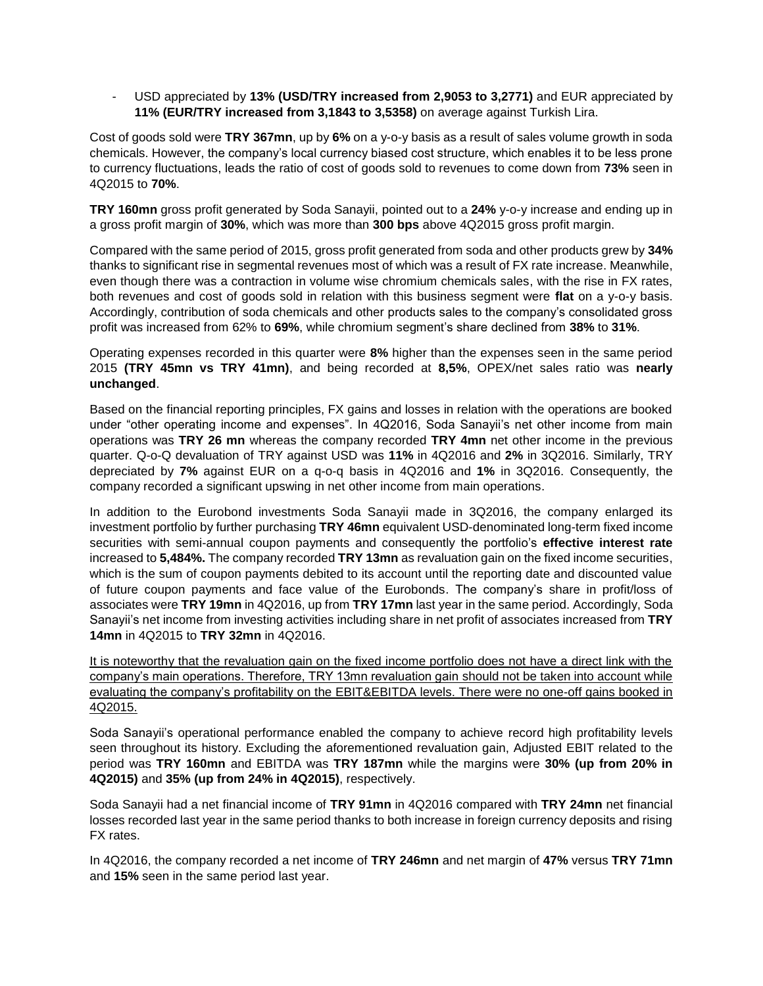- USD appreciated by **13% (USD/TRY increased from 2,9053 to 3,2771)** and EUR appreciated by **11% (EUR/TRY increased from 3,1843 to 3,5358)** on average against Turkish Lira.

Cost of goods sold were **TRY 367mn**, up by **6%** on a y-o-y basis as a result of sales volume growth in soda chemicals. However, the company's local currency biased cost structure, which enables it to be less prone to currency fluctuations, leads the ratio of cost of goods sold to revenues to come down from **73%** seen in 4Q2015 to **70%**.

**TRY 160mn** gross profit generated by Soda Sanayii, pointed out to a **24%** y-o-y increase and ending up in a gross profit margin of **30%**, which was more than **300 bps** above 4Q2015 gross profit margin.

Compared with the same period of 2015, gross profit generated from soda and other products grew by **34%** thanks to significant rise in segmental revenues most of which was a result of FX rate increase. Meanwhile, even though there was a contraction in volume wise chromium chemicals sales, with the rise in FX rates, both revenues and cost of goods sold in relation with this business segment were **flat** on a y-o-y basis. Accordingly, contribution of soda chemicals and other products sales to the company's consolidated gross profit was increased from 62% to **69%**, while chromium segment's share declined from **38%** to **31%**.

Operating expenses recorded in this quarter were **8%** higher than the expenses seen in the same period 2015 **(TRY 45mn vs TRY 41mn)**, and being recorded at **8,5%**, OPEX/net sales ratio was **nearly unchanged**.

Based on the financial reporting principles, FX gains and losses in relation with the operations are booked under "other operating income and expenses". In 4Q2016, Soda Sanayii's net other income from main operations was **TRY 26 mn** whereas the company recorded **TRY 4mn** net other income in the previous quarter. Q-o-Q devaluation of TRY against USD was **11%** in 4Q2016 and **2%** in 3Q2016. Similarly, TRY depreciated by **7%** against EUR on a q-o-q basis in 4Q2016 and **1%** in 3Q2016. Consequently, the company recorded a significant upswing in net other income from main operations.

In addition to the Eurobond investments Soda Sanayii made in 3Q2016, the company enlarged its investment portfolio by further purchasing **TRY 46mn** equivalent USD-denominated long-term fixed income securities with semi-annual coupon payments and consequently the portfolio's **effective interest rate**  increased to **5,484%.** The company recorded **TRY 13mn** as revaluation gain on the fixed income securities, which is the sum of coupon payments debited to its account until the reporting date and discounted value of future coupon payments and face value of the Eurobonds. The company's share in profit/loss of associates were **TRY 19mn** in 4Q2016, up from **TRY 17mn** last year in the same period. Accordingly, Soda Sanayii's net income from investing activities including share in net profit of associates increased from **TRY 14mn** in 4Q2015 to **TRY 32mn** in 4Q2016.

It is noteworthy that the revaluation gain on the fixed income portfolio does not have a direct link with the company's main operations. Therefore, TRY 13mn revaluation gain should not be taken into account while evaluating the company's profitability on the EBIT&EBITDA levels. There were no one-off gains booked in 4Q2015.

Soda Sanayii's operational performance enabled the company to achieve record high profitability levels seen throughout its history. Excluding the aforementioned revaluation gain, Adjusted EBIT related to the period was **TRY 160mn** and EBITDA was **TRY 187mn** while the margins were **30% (up from 20% in 4Q2015)** and **35% (up from 24% in 4Q2015)**, respectively.

Soda Sanayii had a net financial income of **TRY 91mn** in 4Q2016 compared with **TRY 24mn** net financial losses recorded last year in the same period thanks to both increase in foreign currency deposits and rising FX rates.

In 4Q2016, the company recorded a net income of **TRY 246mn** and net margin of **47%** versus **TRY 71mn** and **15%** seen in the same period last year.